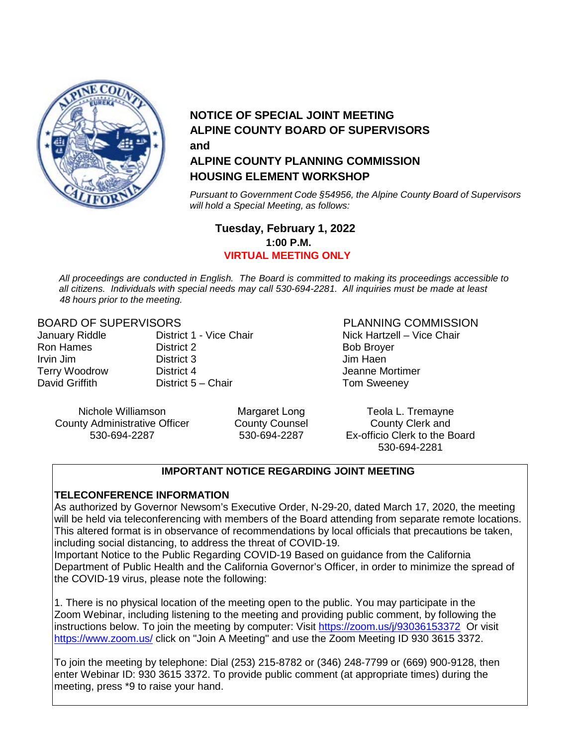

#### **NOTICE OF SPECIAL JOINT MEETING ALPINE COUNTY BOARD OF SUPERVISORS and ALPINE COUNTY PLANNING COMMISSION HOUSING ELEMENT WORKSHOP**

*Pursuant to Government Code §54956, the Alpine County Board of Supervisors will hold a Special Meeting, as follows:*

#### **Tuesday, February 1, 2022 1:00 P.M. VIRTUAL MEETING ONLY**

*All proceedings are conducted in English. The Board is committed to making its proceedings accessible to all citizens. Individuals with special needs may call 530-694-2281. All inquiries must be made at least 48 hours prior to the meeting.*

#### BOARD OF SUPERVISORS FOR THE PLANNING COMMISSION

| District 1 - Vice Chair | Nick Hart:     |
|-------------------------|----------------|
| District 2              | Bob Broy       |
| District 3              | Jim Haen       |
| District 4              | Jeanne M       |
| District 5 – Chair      | <b>Tom Swe</b> |
|                         |                |

January Riddle District 1 - Vice Chair Nick Hartzell – Vice Chair **Bob Broyer** Jeanne Mortimer Tom Sweeney

County Administrative Officer County County Counsel<br>530-694-2287 - 230-694-2287 - 530-694-2287 - 530-694-2287 530-694-2287

Margaret Long County Counsel

Nichole Williamson **Teola L. Tremayne** Margaret Long **Teola L. Tremayne** Ex-officio Clerk to the Board 530-694-2281

#### **IMPORTANT NOTICE REGARDING JOINT MEETING**

#### **TELECONFERENCE INFORMATION**

As authorized by Governor Newsom's Executive Order, N-29-20, dated March 17, 2020, the meeting will be held via teleconferencing with members of the Board attending from separate remote locations. This altered format is in observance of recommendations by local officials that precautions be taken, including social distancing, to address the threat of COVID-19.

Important Notice to the Public Regarding COVID-19 Based on guidance from the California Department of Public Health and the California Governor's Officer, in order to minimize the spread of the COVID-19 virus, please note the following:

1. There is no physical location of the meeting open to the public. You may participate in the Zoom Webinar, including listening to the meeting and providing public comment, by following the instructions below. To join the meeting by computer: Visit<https://zoom.us/j/93036153372>Or visit <https://www.zoom.us/> click on "Join A Meeting" and use the Zoom Meeting ID 930 3615 3372.

To join the meeting by telephone: Dial (253) 215-8782 or (346) 248-7799 or (669) 900-9128, then enter Webinar ID: 930 3615 3372. To provide public comment (at appropriate times) during the meeting, press \*9 to raise your hand.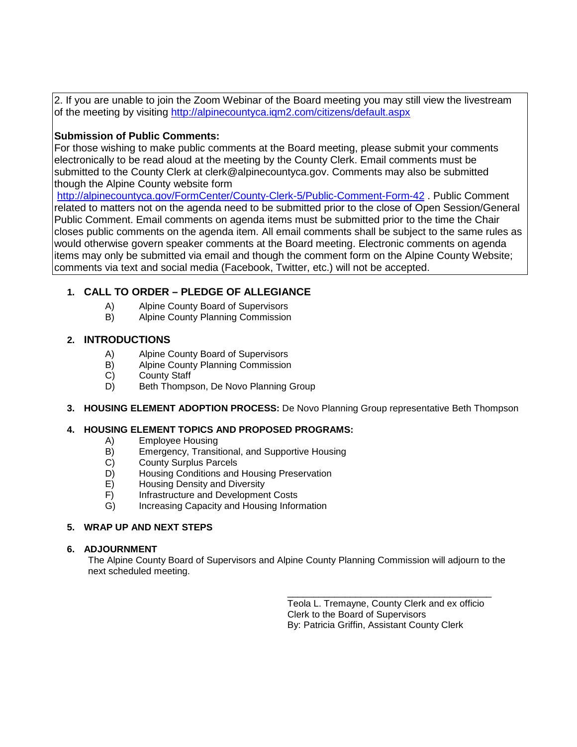2. If you are unable to join the Zoom Webinar of the Board meeting you may still view the livestream of the meeting by visiting<http://alpinecountyca.iqm2.com/citizens/default.aspx>

#### **Submission of Public Comments:**

For those wishing to make public comments at the Board meeting, please submit your comments electronically to be read aloud at the meeting by the County Clerk. Email comments must be submitted to the County Clerk at clerk@alpinecountyca.gov. Comments may also be submitted though the Alpine County website form

<http://alpinecountyca.gov/FormCenter/County-Clerk-5/Public-Comment-Form-42> . Public Comment related to matters not on the agenda need to be submitted prior to the close of Open Session/General Public Comment. Email comments on agenda items must be submitted prior to the time the Chair closes public comments on the agenda item. All email comments shall be subject to the same rules as would otherwise govern speaker comments at the Board meeting. Electronic comments on agenda items may only be submitted via email and though the comment form on the Alpine County Website; comments via text and social media (Facebook, Twitter, etc.) will not be accepted.

#### **1. CALL TO ORDER – PLEDGE OF ALLEGIANCE**

- A) Alpine County Board of Supervisors
- B) Alpine County Planning Commission

#### **2. INTRODUCTIONS**

- A) Alpine County Board of Supervisors<br>
B) Alpine County Planning Commission
- Alpine County Planning Commission
- C) County Staff
- D) Beth Thompson, De Novo Planning Group
- **3. HOUSING ELEMENT ADOPTION PROCESS:** De Novo Planning Group representative Beth Thompson

#### **4. HOUSING ELEMENT TOPICS AND PROPOSED PROGRAMS:**

- A) Employee Housing<br>B) Emergency, Transit
- B) Emergency, Transitional, and Supportive Housing<br>C) County Surplus Parcels
- County Surplus Parcels
- D) Housing Conditions and Housing Preservation
- E) Housing Density and Diversity
- F) Infrastructure and Development Costs
- G) Increasing Capacity and Housing Information

#### **5. WRAP UP AND NEXT STEPS**

#### **6. ADJOURNMENT**

The Alpine County Board of Supervisors and Alpine County Planning Commission will adjourn to the next scheduled meeting.

> \_\_\_\_\_\_\_\_\_\_\_\_\_\_\_\_\_\_\_\_\_\_\_\_\_\_\_\_\_\_\_\_\_\_\_\_\_\_\_ Teola L. Tremayne, County Clerk and ex officio Clerk to the Board of Supervisors By: Patricia Griffin, Assistant County Clerk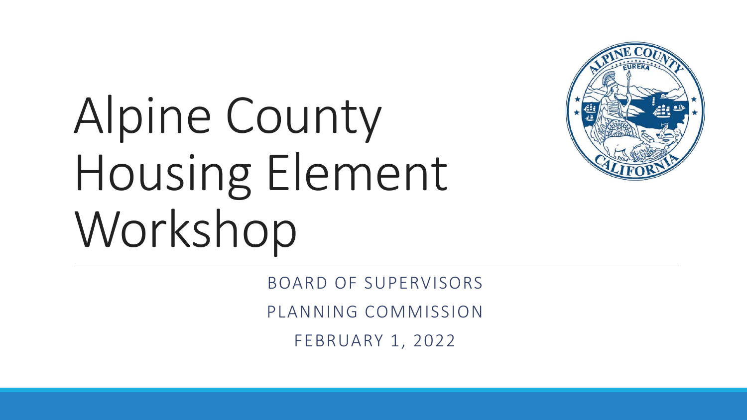

# Alpine County Housing Element Workshop

BOARD OF SUPERVISORS PLANNING COMMISSION FEBRUARY 1, 2022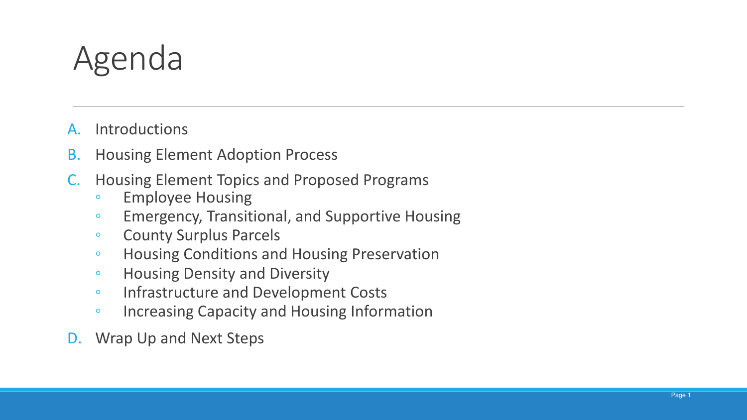## Agenda

- A. Introductions
- B. Housing Element Adoption Process
- C. Housing Element Topics and Proposed Programs
	- Employee Housing
	- Emergency, Transitional, and Supportive Housing
	- County Surplus Parcels
	- Housing Conditions and Housing Preservation
	- Housing Density and Diversity
	- Infrastructure and Development Costs
	- Increasing Capacity and Housing Information
- D. Wrap Up and Next Steps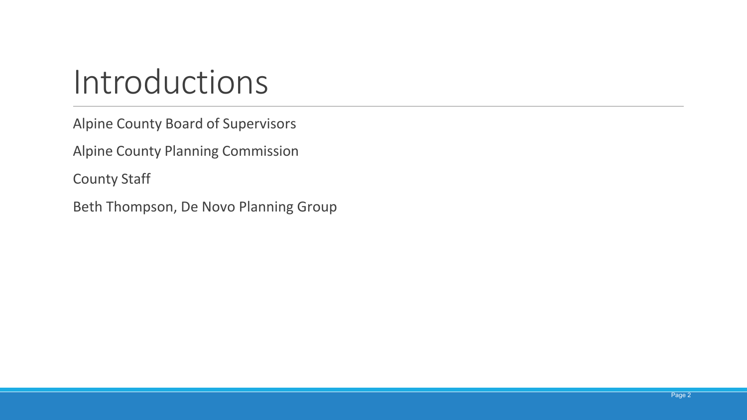## Introductions

Alpine County Board of Supervisors

Alpine County Planning Commission

County Staff

Beth Thompson, De Novo Planning Group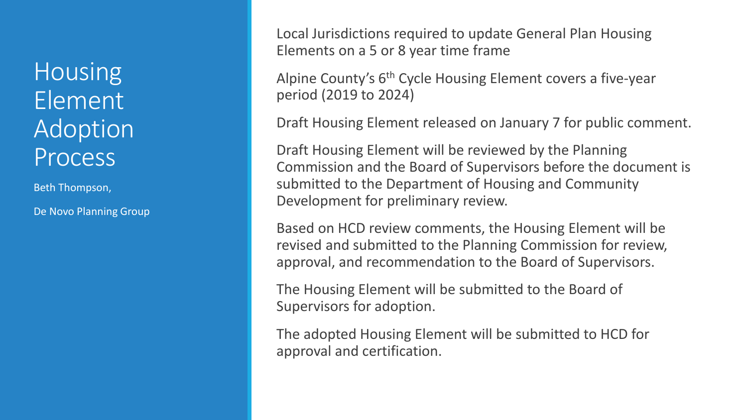**Housing** Element Adoption **Process** 

Beth Thompson,

De Novo Planning Group

Local Jurisdictions required to update General Plan Housing Elements on a 5 or 8 year time frame

Alpine County's 6th Cycle Housing Element covers a five-year period (2019 to 2024)

Draft Housing Element released on January 7 for public comment.

Draft Housing Element will be reviewed by the Planning Commission and the Board of Supervisors before the document is submitted to the Department of Housing and Community Development for preliminary review.

Based on HCD review comments, the Housing Element will be revised and submitted to the Planning Commission for review, approval, and recommendation to the Board of Supervisors.

The Housing Element will be submitted to the Board of Supervisors for adoption.

The adopted Housing Element will be submitted to HCD for approval and certification.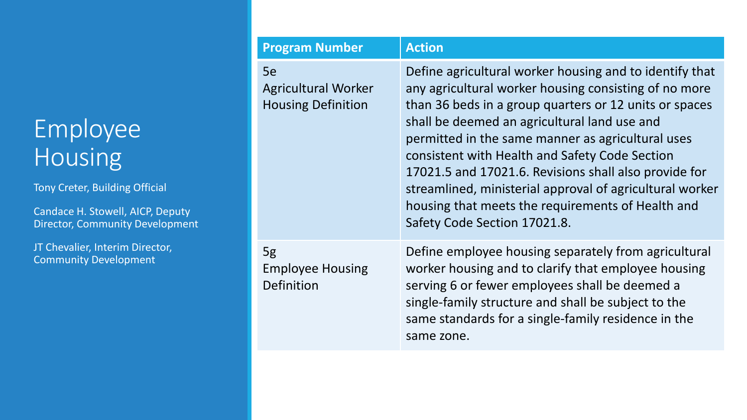### Employee Housing

Tony Creter, Building Official

Candace H. Stowell, AICP, Deputy Director, Community Development

| <b>Program Number</b>                                         | <b>Action</b>                                                                                                                                                                                                                                                                                                                                                                                                                                                                                                                               |
|---------------------------------------------------------------|---------------------------------------------------------------------------------------------------------------------------------------------------------------------------------------------------------------------------------------------------------------------------------------------------------------------------------------------------------------------------------------------------------------------------------------------------------------------------------------------------------------------------------------------|
| 5e<br><b>Agricultural Worker</b><br><b>Housing Definition</b> | Define agricultural worker housing and to identify that<br>any agricultural worker housing consisting of no more<br>than 36 beds in a group quarters or 12 units or spaces<br>shall be deemed an agricultural land use and<br>permitted in the same manner as agricultural uses<br>consistent with Health and Safety Code Section<br>17021.5 and 17021.6. Revisions shall also provide for<br>streamlined, ministerial approval of agricultural worker<br>housing that meets the requirements of Health and<br>Safety Code Section 17021.8. |
| 5g<br><b>Employee Housing</b><br>Definition                   | Define employee housing separately from agricultural<br>worker housing and to clarify that employee housing<br>serving 6 or fewer employees shall be deemed a<br>single-family structure and shall be subject to the<br>same standards for a single-family residence in the<br>same zone.                                                                                                                                                                                                                                                   |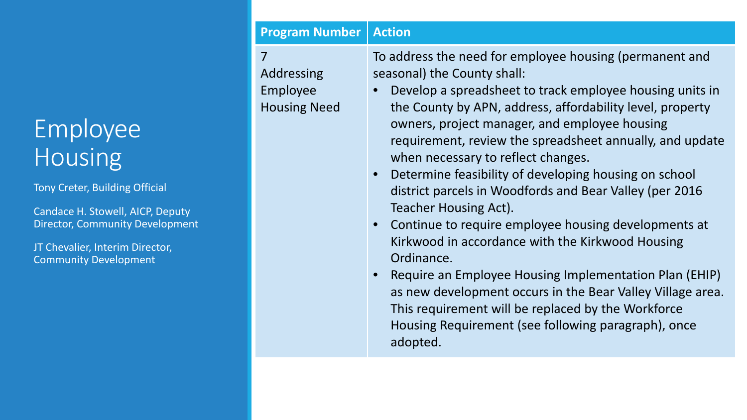### Employee Housing

Tony Creter, Building Official

Candace H. Stowell, AICP, Deputy Director, Community Development

JT Chevalier, Interim Director, Community Development

#### **Program Number Action**

7 Addressing Employee Housing Need To address the need for employee housing (permanent and seasonal) the County shall:

- Develop a spreadsheet to track employee housing units in the County by APN, address, affordability level, property owners, project manager, and employee housing requirement, review the spreadsheet annually, and update when necessary to reflect changes.
- Determine feasibility of developing housing on school district parcels in Woodfords and Bear Valley (per 2016 Teacher Housing Act).
- Continue to require employee housing developments at Kirkwood in accordance with the Kirkwood Housing Ordinance.
- Require an Employee Housing Implementation Plan (EHIP) as new development occurs in the Bear Valley Village area. This requirement will be replaced by the Workforce Housing Requirement (see following paragraph), once adopted.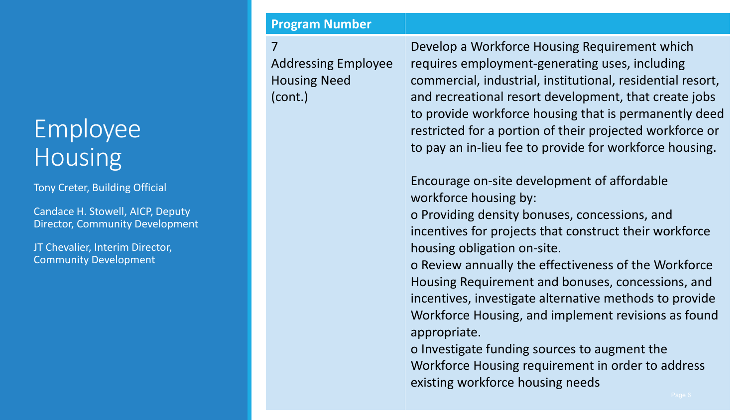### Employee **Housing**

Tony Creter, Building Official

Candace H. Stowell, AICP, Deputy Director, Community Development

JT Chevalier, Interim Director, Community Development

#### **Program Number**

7 Addressing Employee Housing Need (cont.)

Develop a Workforce Housing Requirement which requires employment-generating uses, including commercial, industrial, institutional, residential resort, and recreational resort development, that create jobs to provide workforce housing that is permanently deed restricted for a portion of their projected workforce or to pay an in-lieu fee to provide for workforce housing.

Encourage on-site development of affordable workforce housing by:

o Providing density bonuses, concessions, and incentives for projects that construct their workforce housing obligation on-site.

o Review annually the effectiveness of the Workforce Housing Requirement and bonuses, concessions, and incentives, investigate alternative methods to provide Workforce Housing, and implement revisions as found appropriate.

o Investigate funding sources to augment the Workforce Housing requirement in order to address existing workforce housing needs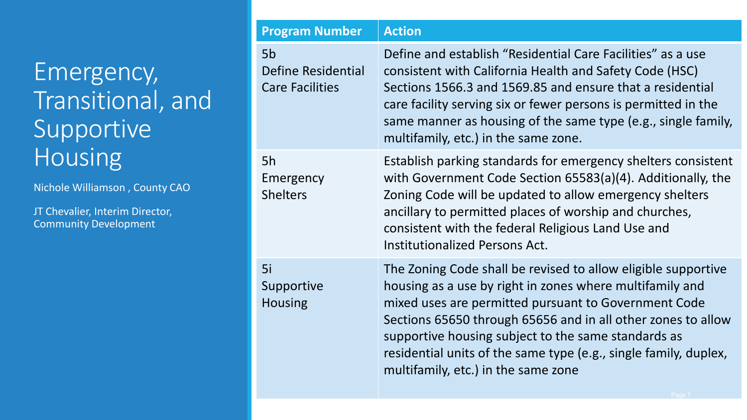Nichole Williamson , County CAO

| <b>Program Number</b>                                          | <b>Action</b>                                                                                                                                                                                                                                                                                                                                                                                                       |
|----------------------------------------------------------------|---------------------------------------------------------------------------------------------------------------------------------------------------------------------------------------------------------------------------------------------------------------------------------------------------------------------------------------------------------------------------------------------------------------------|
| 5 <sub>b</sub><br>Define Residential<br><b>Care Facilities</b> | Define and establish "Residential Care Facilities" as a use<br>consistent with California Health and Safety Code (HSC)<br>Sections 1566.3 and 1569.85 and ensure that a residential<br>care facility serving six or fewer persons is permitted in the<br>same manner as housing of the same type (e.g., single family,<br>multifamily, etc.) in the same zone.                                                      |
| 5h<br>Emergency<br><b>Shelters</b>                             | Establish parking standards for emergency shelters consistent<br>with Government Code Section 65583(a)(4). Additionally, the<br>Zoning Code will be updated to allow emergency shelters<br>ancillary to permitted places of worship and churches,<br>consistent with the federal Religious Land Use and<br><b>Institutionalized Persons Act.</b>                                                                    |
| 5i<br>Supportive<br><b>Housing</b>                             | The Zoning Code shall be revised to allow eligible supportive<br>housing as a use by right in zones where multifamily and<br>mixed uses are permitted pursuant to Government Code<br>Sections 65650 through 65656 and in all other zones to allow<br>supportive housing subject to the same standards as<br>residential units of the same type (e.g., single family, duplex,<br>multifamily, etc.) in the same zone |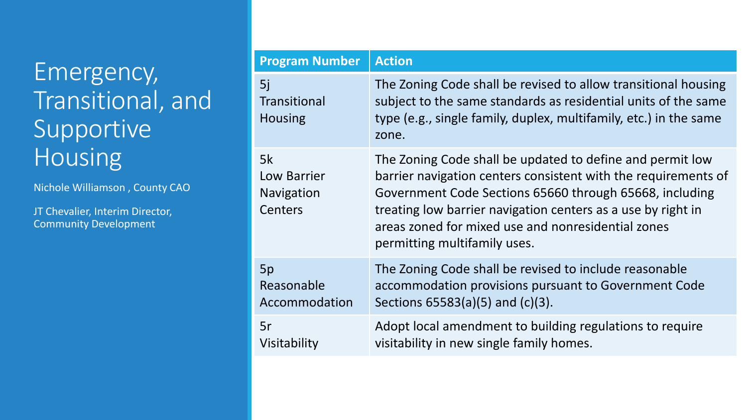Nichole Williamson , County CAO

| <b>Program Number</b>                       | <b>Action</b>                                                                                                                                                                                                                                                                                                                                |
|---------------------------------------------|----------------------------------------------------------------------------------------------------------------------------------------------------------------------------------------------------------------------------------------------------------------------------------------------------------------------------------------------|
| 5j<br><b>Transitional</b><br><b>Housing</b> | The Zoning Code shall be revised to allow transitional housing<br>subject to the same standards as residential units of the same<br>type (e.g., single family, duplex, multifamily, etc.) in the same<br>zone.                                                                                                                               |
| 5k<br>Low Barrier<br>Navigation<br>Centers  | The Zoning Code shall be updated to define and permit low<br>barrier navigation centers consistent with the requirements of<br>Government Code Sections 65660 through 65668, including<br>treating low barrier navigation centers as a use by right in<br>areas zoned for mixed use and nonresidential zones<br>permitting multifamily uses. |
| 5p<br>Reasonable<br>Accommodation           | The Zoning Code shall be revised to include reasonable<br>accommodation provisions pursuant to Government Code<br>Sections 65583(a)(5) and (c)(3).                                                                                                                                                                                           |
| 5r<br>Visitability                          | Adopt local amendment to building regulations to require<br>visitability in new single family homes.                                                                                                                                                                                                                                         |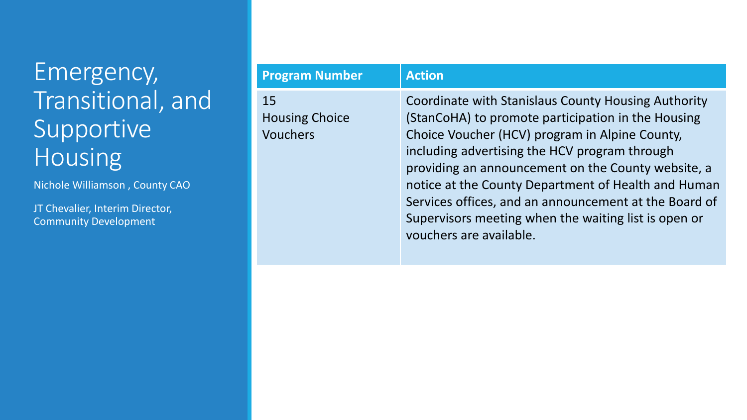Nichole Williamson , County CAO

| <b>Program Number</b>                          | <b>Action</b>                                                                                                                                                                                                                                                                                                                                                                                                                                                         |
|------------------------------------------------|-----------------------------------------------------------------------------------------------------------------------------------------------------------------------------------------------------------------------------------------------------------------------------------------------------------------------------------------------------------------------------------------------------------------------------------------------------------------------|
| 15<br><b>Housing Choice</b><br><b>Vouchers</b> | Coordinate with Stanislaus County Housing Authority<br>(StanCoHA) to promote participation in the Housing<br>Choice Voucher (HCV) program in Alpine County,<br>including advertising the HCV program through<br>providing an announcement on the County website, a<br>notice at the County Department of Health and Human<br>Services offices, and an announcement at the Board of<br>Supervisors meeting when the waiting list is open or<br>vouchers are available. |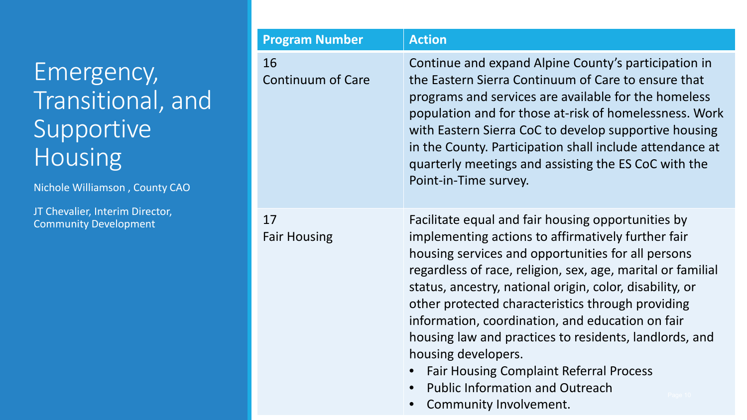Nichole Williamson , County CAO

| <b>Program Number</b>          | <b>Action</b>                                                                                                                                                                                                                                                                                                                                                                                                                                                                                                                         |
|--------------------------------|---------------------------------------------------------------------------------------------------------------------------------------------------------------------------------------------------------------------------------------------------------------------------------------------------------------------------------------------------------------------------------------------------------------------------------------------------------------------------------------------------------------------------------------|
| 16<br><b>Continuum of Care</b> | Continue and expand Alpine County's participation in<br>the Eastern Sierra Continuum of Care to ensure that<br>programs and services are available for the homeless<br>population and for those at-risk of homelessness. Work<br>with Eastern Sierra CoC to develop supportive housing<br>in the County. Participation shall include attendance at<br>quarterly meetings and assisting the ES CoC with the<br>Point-in-Time survey.                                                                                                   |
| 17<br><b>Fair Housing</b>      | Facilitate equal and fair housing opportunities by<br>implementing actions to affirmatively further fair<br>housing services and opportunities for all persons<br>regardless of race, religion, sex, age, marital or familial<br>status, ancestry, national origin, color, disability, or<br>other protected characteristics through providing<br>information, coordination, and education on fair<br>housing law and practices to residents, landlords, and<br>housing developers.<br><b>Fair Housing Complaint Referral Process</b> |

- Public Information and Outreach
- Community Involvement.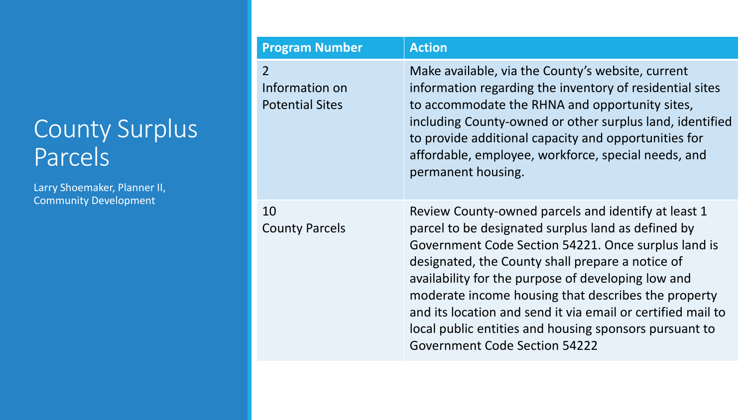### County Surplus Parcels

Larry Shoemaker, Planner II, Community Development

| <b>Program Number</b>                                      | <b>Action</b>                                                                                                                                                                                                                                                                                                                                                                                                                                                                                      |
|------------------------------------------------------------|----------------------------------------------------------------------------------------------------------------------------------------------------------------------------------------------------------------------------------------------------------------------------------------------------------------------------------------------------------------------------------------------------------------------------------------------------------------------------------------------------|
| $\overline{2}$<br>Information on<br><b>Potential Sites</b> | Make available, via the County's website, current<br>information regarding the inventory of residential sites<br>to accommodate the RHNA and opportunity sites,<br>including County-owned or other surplus land, identified<br>to provide additional capacity and opportunities for<br>affordable, employee, workforce, special needs, and<br>permanent housing.                                                                                                                                   |
| 10<br><b>County Parcels</b>                                | Review County-owned parcels and identify at least 1<br>parcel to be designated surplus land as defined by<br>Government Code Section 54221. Once surplus land is<br>designated, the County shall prepare a notice of<br>availability for the purpose of developing low and<br>moderate income housing that describes the property<br>and its location and send it via email or certified mail to<br>local public entities and housing sponsors pursuant to<br><b>Government Code Section 54222</b> |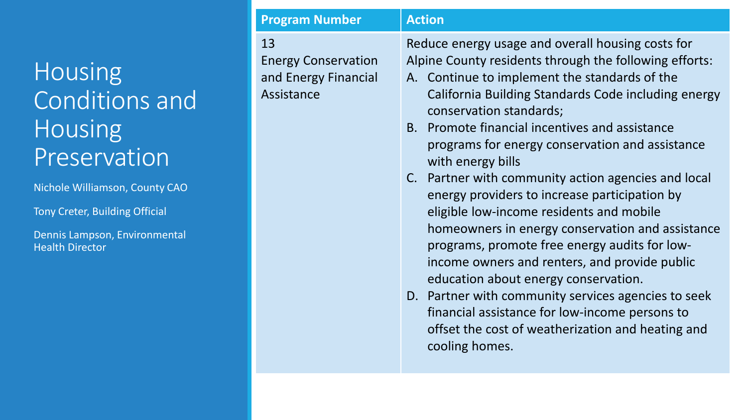### Housing Conditions and Housing Preservation

Nichole Williamson, County CAO

Tony Creter, Building Official

Dennis Lampson, Environmental Health Director

| <b>Program Number</b>                                                  | <b>Action</b>                                                                                                                                                                                                                                                                                                                                                                                                                                                                                                                                                                                                                                                                                                                                                                                                                                                                                              |
|------------------------------------------------------------------------|------------------------------------------------------------------------------------------------------------------------------------------------------------------------------------------------------------------------------------------------------------------------------------------------------------------------------------------------------------------------------------------------------------------------------------------------------------------------------------------------------------------------------------------------------------------------------------------------------------------------------------------------------------------------------------------------------------------------------------------------------------------------------------------------------------------------------------------------------------------------------------------------------------|
| 13<br><b>Energy Conservation</b><br>and Energy Financial<br>Assistance | Reduce energy usage and overall housing costs for<br>Alpine County residents through the following efforts:<br>A. Continue to implement the standards of the<br>California Building Standards Code including energy<br>conservation standards;<br>B. Promote financial incentives and assistance<br>programs for energy conservation and assistance<br>with energy bills<br>C. Partner with community action agencies and local<br>energy providers to increase participation by<br>eligible low-income residents and mobile<br>homeowners in energy conservation and assistance<br>programs, promote free energy audits for low-<br>income owners and renters, and provide public<br>education about energy conservation.<br>D. Partner with community services agencies to seek<br>financial assistance for low-income persons to<br>offset the cost of weatherization and heating and<br>cooling homes. |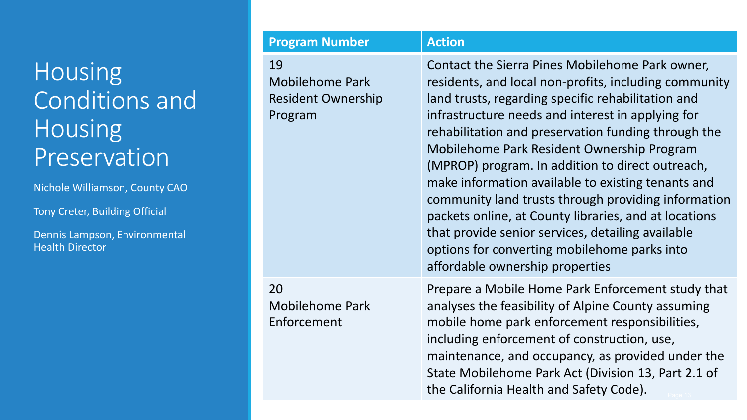### **Housing** Conditions and **Housing** Preservation

Nichole Williamson, County CAO

Tony Creter, Building Official

Dennis Lampson, Environmental Health Director

| <b>Program Number</b>                                                | <b>Action</b>                                                                                                                                                                                                                                                                                                                                                                                                                                                                                                                                                                                                                                                                              |
|----------------------------------------------------------------------|--------------------------------------------------------------------------------------------------------------------------------------------------------------------------------------------------------------------------------------------------------------------------------------------------------------------------------------------------------------------------------------------------------------------------------------------------------------------------------------------------------------------------------------------------------------------------------------------------------------------------------------------------------------------------------------------|
| 19<br><b>Mobilehome Park</b><br><b>Resident Ownership</b><br>Program | Contact the Sierra Pines Mobilehome Park owner,<br>residents, and local non-profits, including community<br>land trusts, regarding specific rehabilitation and<br>infrastructure needs and interest in applying for<br>rehabilitation and preservation funding through the<br>Mobilehome Park Resident Ownership Program<br>(MPROP) program. In addition to direct outreach,<br>make information available to existing tenants and<br>community land trusts through providing information<br>packets online, at County libraries, and at locations<br>that provide senior services, detailing available<br>options for converting mobilehome parks into<br>affordable ownership properties |
| 20<br><b>Mobilehome Park</b><br>Enforcement                          | Prepare a Mobile Home Park Enforcement study that<br>analyses the feasibility of Alpine County assuming<br>mobile home park enforcement responsibilities,<br>including enforcement of construction, use,<br>maintenance, and occupancy, as provided under the                                                                                                                                                                                                                                                                                                                                                                                                                              |

State Mobilehome Park Act (Division 13, Part 2.1 of

the California Health and Safety Code).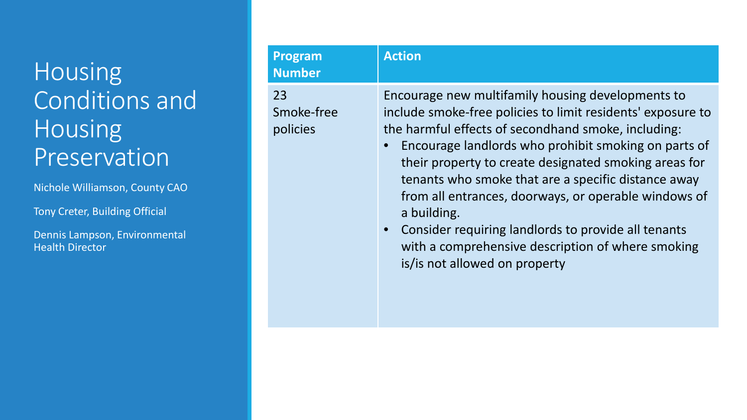### Housing Conditions and Housing Preservation

Nichole Williamson, County CAO

Tony Creter, Building Official

Dennis Lampson, Environmental Health Director

| <b>Program</b><br><b>Number</b> | <b>Action</b>                                                                                                                                                                                                                                                                                                                                                                                                                                                                                                                                                       |
|---------------------------------|---------------------------------------------------------------------------------------------------------------------------------------------------------------------------------------------------------------------------------------------------------------------------------------------------------------------------------------------------------------------------------------------------------------------------------------------------------------------------------------------------------------------------------------------------------------------|
| 23<br>Smoke-free<br>policies    | Encourage new multifamily housing developments to<br>include smoke-free policies to limit residents' exposure to<br>the harmful effects of secondhand smoke, including:<br>Encourage landlords who prohibit smoking on parts of<br>their property to create designated smoking areas for<br>tenants who smoke that are a specific distance away<br>from all entrances, doorways, or operable windows of<br>a building.<br>Consider requiring landlords to provide all tenants<br>with a comprehensive description of where smoking<br>is/is not allowed on property |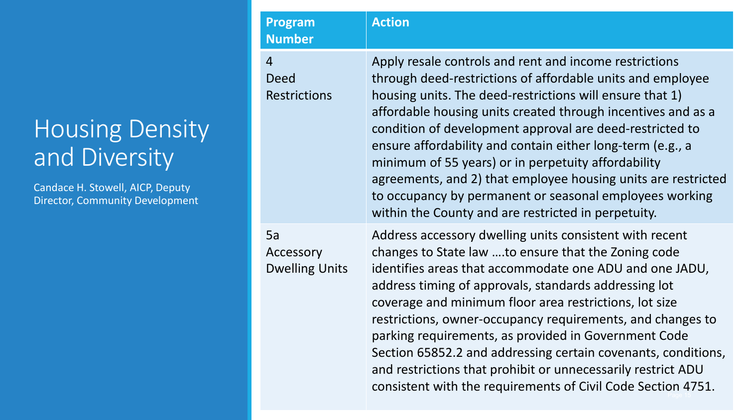#### Housing Density and Diversity

Candace H. Stowell, AICP, Deputy Director, Community Development

| <b>Program</b><br><b>Number</b>                      | <b>Action</b>                                                                                                                                                                                                                                                                                                                                                                                                                                                                                                                                                                                                        |
|------------------------------------------------------|----------------------------------------------------------------------------------------------------------------------------------------------------------------------------------------------------------------------------------------------------------------------------------------------------------------------------------------------------------------------------------------------------------------------------------------------------------------------------------------------------------------------------------------------------------------------------------------------------------------------|
| $\overline{4}$<br><b>Deed</b><br><b>Restrictions</b> | Apply resale controls and rent and income restrictions<br>through deed-restrictions of affordable units and employee<br>housing units. The deed-restrictions will ensure that 1)<br>affordable housing units created through incentives and as a<br>condition of development approval are deed-restricted to<br>ensure affordability and contain either long-term (e.g., a<br>minimum of 55 years) or in perpetuity affordability<br>agreements, and 2) that employee housing units are restricted<br>to occupancy by permanent or seasonal employees working<br>within the County and are restricted in perpetuity. |
| 5a<br>Accessory<br><b>Dwelling Units</b>             | Address accessory dwelling units consistent with recent<br>changes to State law to ensure that the Zoning code<br>identifies areas that accommodate one ADU and one JADU,<br>address timing of approvals, standards addressing lot<br>coverage and minimum floor area restrictions, lot size<br>restrictions, owner-occupancy requirements, and changes to<br>parking requirements, as provided in Government Code<br>Section 65852.2 and addressing certain covenants, conditions,<br>and restrictions that prohibit or unnecessarily restrict ADU<br>consistent with the requirements of Civil Code Section 4751.  |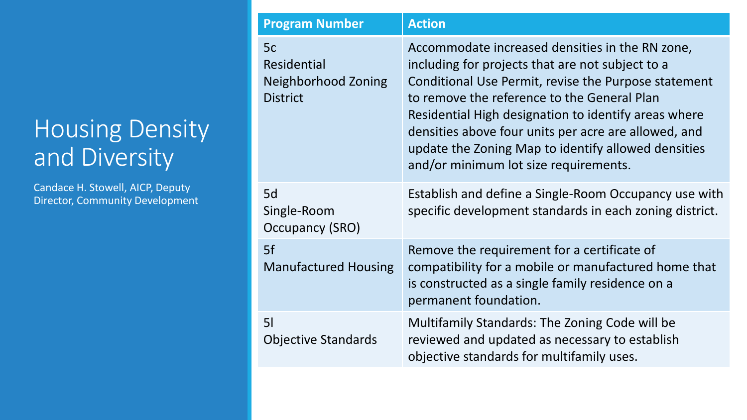#### Housing Density and Diversity

Candace H. Stowell, AICP, Deputy Director, Community Development

| <b>Program Number</b>                                       | <b>Action</b>                                                                                                                                                                                                                                                                                                                                                                                                              |
|-------------------------------------------------------------|----------------------------------------------------------------------------------------------------------------------------------------------------------------------------------------------------------------------------------------------------------------------------------------------------------------------------------------------------------------------------------------------------------------------------|
| 5c<br>Residential<br>Neighborhood Zoning<br><b>District</b> | Accommodate increased densities in the RN zone,<br>including for projects that are not subject to a<br>Conditional Use Permit, revise the Purpose statement<br>to remove the reference to the General Plan<br>Residential High designation to identify areas where<br>densities above four units per acre are allowed, and<br>update the Zoning Map to identify allowed densities<br>and/or minimum lot size requirements. |
| 5d<br>Single-Room<br>Occupancy (SRO)                        | Establish and define a Single-Room Occupancy use with<br>specific development standards in each zoning district.                                                                                                                                                                                                                                                                                                           |
| 5f<br><b>Manufactured Housing</b>                           | Remove the requirement for a certificate of<br>compatibility for a mobile or manufactured home that<br>is constructed as a single family residence on a<br>permanent foundation.                                                                                                                                                                                                                                           |
| 5 <sub>l</sub><br><b>Objective Standards</b>                | Multifamily Standards: The Zoning Code will be<br>reviewed and updated as necessary to establish<br>objective standards for multifamily uses.                                                                                                                                                                                                                                                                              |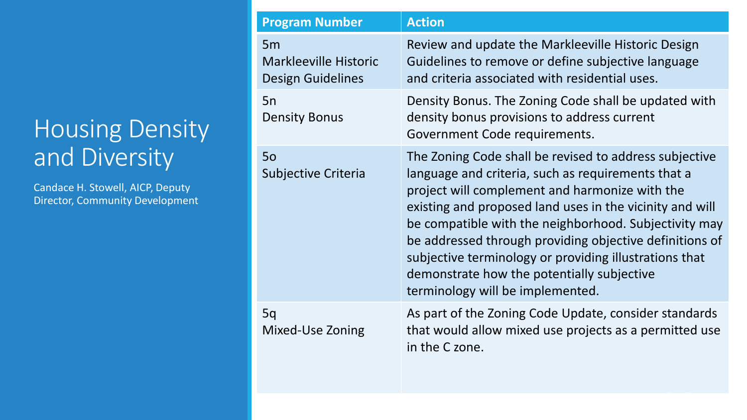### Housing Density and Diversity

Candace H. Stowell, AICP, Deputy Director, Community Development

| <b>Program Number</b>                                          | <b>Action</b>                                                                                                                                                                                                                                                                                                                                                                                                                                                                              |
|----------------------------------------------------------------|--------------------------------------------------------------------------------------------------------------------------------------------------------------------------------------------------------------------------------------------------------------------------------------------------------------------------------------------------------------------------------------------------------------------------------------------------------------------------------------------|
| 5m<br><b>Markleeville Historic</b><br><b>Design Guidelines</b> | Review and update the Markleeville Historic Design<br>Guidelines to remove or define subjective language<br>and criteria associated with residential uses.                                                                                                                                                                                                                                                                                                                                 |
| 5n<br><b>Density Bonus</b>                                     | Density Bonus. The Zoning Code shall be updated with<br>density bonus provisions to address current<br>Government Code requirements.                                                                                                                                                                                                                                                                                                                                                       |
| 50<br>Subjective Criteria                                      | The Zoning Code shall be revised to address subjective<br>language and criteria, such as requirements that a<br>project will complement and harmonize with the<br>existing and proposed land uses in the vicinity and will<br>be compatible with the neighborhood. Subjectivity may<br>be addressed through providing objective definitions of<br>subjective terminology or providing illustrations that<br>demonstrate how the potentially subjective<br>terminology will be implemented. |
| 5q<br>Mixed-Use Zoning                                         | As part of the Zoning Code Update, consider standards<br>that would allow mixed use projects as a permitted use<br>in the C zone.                                                                                                                                                                                                                                                                                                                                                          |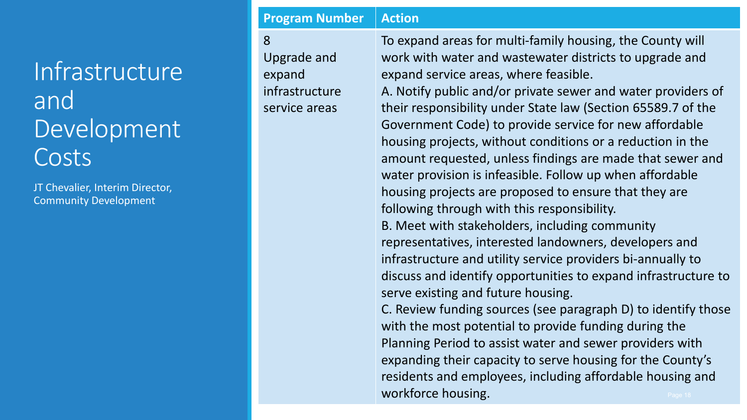### Infrastructure and Development Costs

JT Chevalier, Interim Director, Community Development

#### **Program Number | Action** 8 Upgrade and expand infrastructure service areas

To expand areas for multi-family housing, the County will work with water and wastewater districts to upgrade and expand service areas, where feasible.

A. Notify public and/or private sewer and water providers of their responsibility under State law (Section 65589.7 of the Government Code) to provide service for new affordable housing projects, without conditions or a reduction in the amount requested, unless findings are made that sewer and water provision is infeasible. Follow up when affordable housing projects are proposed to ensure that they are following through with this responsibility. B. Meet with stakeholders, including community representatives, interested landowners, developers and infrastructure and utility service providers bi-annually to discuss and identify opportunities to expand infrastructure to serve existing and future housing. C. Review funding sources (see paragraph D) to identify those with the most potential to provide funding during the

Planning Period to assist water and sewer providers with expanding their capacity to serve housing for the County's residents and employees, including affordable housing and workforce housing.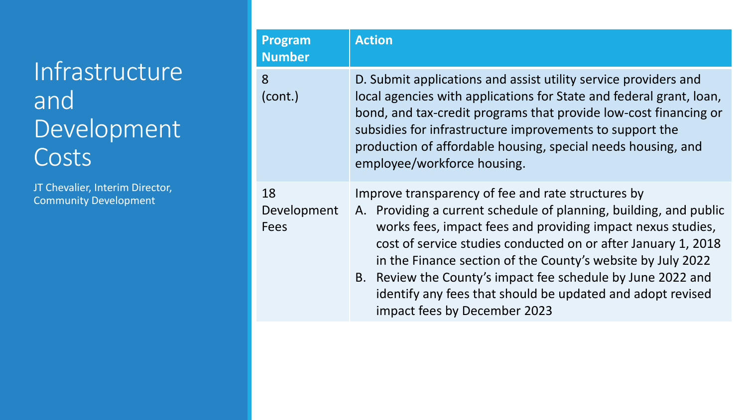### Infrastructure and Development Costs

| <b>Program</b><br><b>Number</b> | <b>Action</b>                                                                                                                                                                                                                                                                                                                                                                                                                                                                       |
|---------------------------------|-------------------------------------------------------------------------------------------------------------------------------------------------------------------------------------------------------------------------------------------------------------------------------------------------------------------------------------------------------------------------------------------------------------------------------------------------------------------------------------|
| 8<br>(cont.)                    | D. Submit applications and assist utility service providers and<br>local agencies with applications for State and federal grant, loan,<br>bond, and tax-credit programs that provide low-cost financing or<br>subsidies for infrastructure improvements to support the<br>production of affordable housing, special needs housing, and<br>employee/workforce housing.                                                                                                               |
| 18<br>Development<br>Fees       | Improve transparency of fee and rate structures by<br>A. Providing a current schedule of planning, building, and public<br>works fees, impact fees and providing impact nexus studies,<br>cost of service studies conducted on or after January 1, 2018<br>in the Finance section of the County's website by July 2022<br>B. Review the County's impact fee schedule by June 2022 and<br>identify any fees that should be updated and adopt revised<br>impact fees by December 2023 |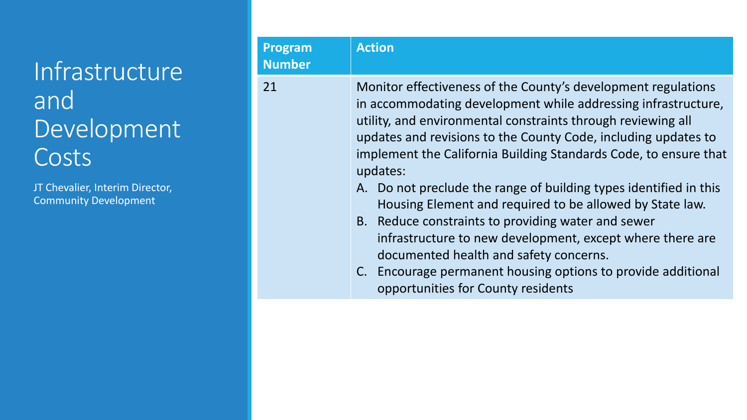### Infrastructure and Development Costs

| Program<br><b>Number</b> | <b>Action</b>                                                                                                                                                                                                                                                                                                                                                                                                                                                                                                                                                                                                                                                                                                                                           |
|--------------------------|---------------------------------------------------------------------------------------------------------------------------------------------------------------------------------------------------------------------------------------------------------------------------------------------------------------------------------------------------------------------------------------------------------------------------------------------------------------------------------------------------------------------------------------------------------------------------------------------------------------------------------------------------------------------------------------------------------------------------------------------------------|
| 21                       | Monitor effectiveness of the County's development regulations<br>in accommodating development while addressing infrastructure,<br>utility, and environmental constraints through reviewing all<br>updates and revisions to the County Code, including updates to<br>implement the California Building Standards Code, to ensure that<br>updates:<br>A. Do not preclude the range of building types identified in this<br>Housing Element and required to be allowed by State law.<br>B. Reduce constraints to providing water and sewer<br>infrastructure to new development, except where there are<br>documented health and safety concerns.<br>Encourage permanent housing options to provide additional<br>C.<br>opportunities for County residents |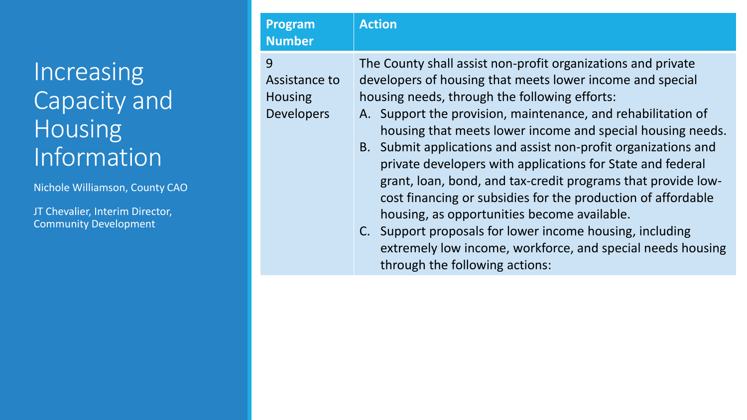Nichole Williamson, County CAO

JT Chevalier, Interim Director, Community Development

#### **Program Number Action** 9 Assistance to

Housing Developers The County shall assist non-profit organizations and private developers of housing that meets lower income and special housing needs, through the following efforts:

- A. Support the provision, maintenance, and rehabilitation of housing that meets lower income and special housing needs.
- B. Submit applications and assist non-profit organizations and private developers with applications for State and federal grant, loan, bond, and tax-credit programs that provide lowcost financing or subsidies for the production of affordable housing, as opportunities become available.
- C. Support proposals for lower income housing, including extremely low income, workforce, and special needs housing through the following actions: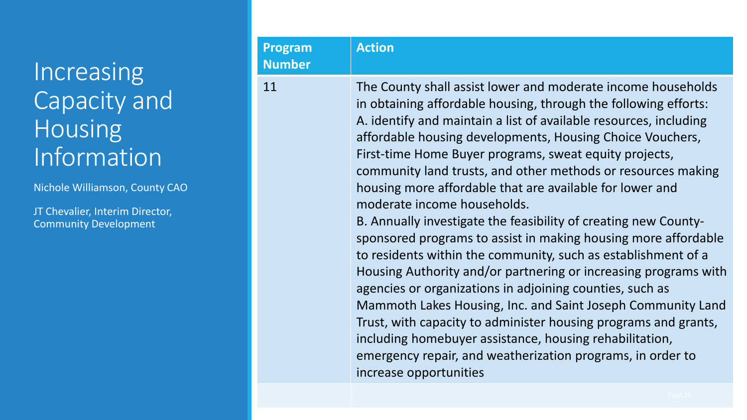Nichole Williamson, County CAO

| <b>Program</b><br><b>Number</b> | <b>Action</b>                                                                                                                                                                                                                                                                                                                                                                                                                                                                                                                                                                                                                                                                                                                                                                                                                                                                                                                                                                                                                                                                                                    |
|---------------------------------|------------------------------------------------------------------------------------------------------------------------------------------------------------------------------------------------------------------------------------------------------------------------------------------------------------------------------------------------------------------------------------------------------------------------------------------------------------------------------------------------------------------------------------------------------------------------------------------------------------------------------------------------------------------------------------------------------------------------------------------------------------------------------------------------------------------------------------------------------------------------------------------------------------------------------------------------------------------------------------------------------------------------------------------------------------------------------------------------------------------|
| 11                              | The County shall assist lower and moderate income households<br>in obtaining affordable housing, through the following efforts:<br>A. identify and maintain a list of available resources, including<br>affordable housing developments, Housing Choice Vouchers,<br>First-time Home Buyer programs, sweat equity projects,<br>community land trusts, and other methods or resources making<br>housing more affordable that are available for lower and<br>moderate income households.<br>B. Annually investigate the feasibility of creating new County-<br>sponsored programs to assist in making housing more affordable<br>to residents within the community, such as establishment of a<br>Housing Authority and/or partnering or increasing programs with<br>agencies or organizations in adjoining counties, such as<br>Mammoth Lakes Housing, Inc. and Saint Joseph Community Land<br>Trust, with capacity to administer housing programs and grants,<br>including homebuyer assistance, housing rehabilitation,<br>emergency repair, and weatherization programs, in order to<br>increase opportunities |
|                                 |                                                                                                                                                                                                                                                                                                                                                                                                                                                                                                                                                                                                                                                                                                                                                                                                                                                                                                                                                                                                                                                                                                                  |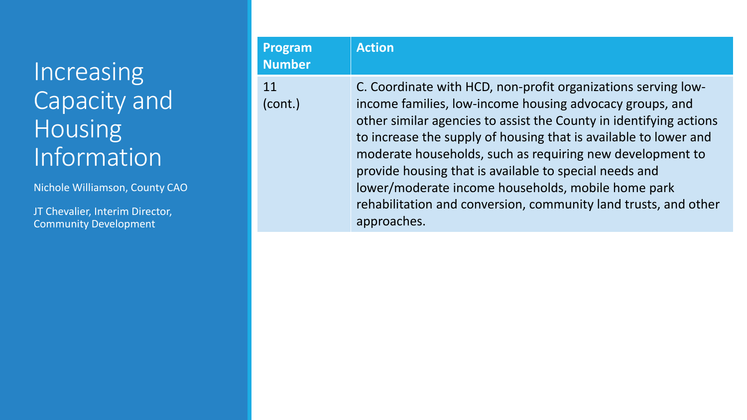Nichole Williamson, County CAO

| <b>Program</b><br><b>Number</b> | <b>Action</b>                                                                                                                                                                                                                                                                                                                                                                                                                                                                                                                      |
|---------------------------------|------------------------------------------------------------------------------------------------------------------------------------------------------------------------------------------------------------------------------------------------------------------------------------------------------------------------------------------------------------------------------------------------------------------------------------------------------------------------------------------------------------------------------------|
| 11<br>(cont.)                   | C. Coordinate with HCD, non-profit organizations serving low-<br>income families, low-income housing advocacy groups, and<br>other similar agencies to assist the County in identifying actions<br>to increase the supply of housing that is available to lower and<br>moderate households, such as requiring new development to<br>provide housing that is available to special needs and<br>lower/moderate income households, mobile home park<br>rehabilitation and conversion, community land trusts, and other<br>approaches. |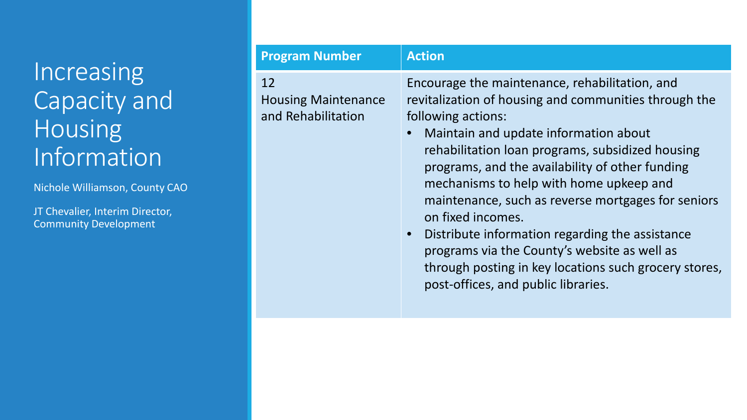Nichole Williamson, County CAO

| <b>Program Number</b>                                  | <b>Action</b>                                                                                                                                                                                                                                                                                                                                                                                                                                                                                                                                                                                                       |
|--------------------------------------------------------|---------------------------------------------------------------------------------------------------------------------------------------------------------------------------------------------------------------------------------------------------------------------------------------------------------------------------------------------------------------------------------------------------------------------------------------------------------------------------------------------------------------------------------------------------------------------------------------------------------------------|
| 12<br><b>Housing Maintenance</b><br>and Rehabilitation | Encourage the maintenance, rehabilitation, and<br>revitalization of housing and communities through the<br>following actions:<br>Maintain and update information about<br>rehabilitation loan programs, subsidized housing<br>programs, and the availability of other funding<br>mechanisms to help with home upkeep and<br>maintenance, such as reverse mortgages for seniors<br>on fixed incomes.<br>Distribute information regarding the assistance<br>$\bullet$<br>programs via the County's website as well as<br>through posting in key locations such grocery stores,<br>post-offices, and public libraries. |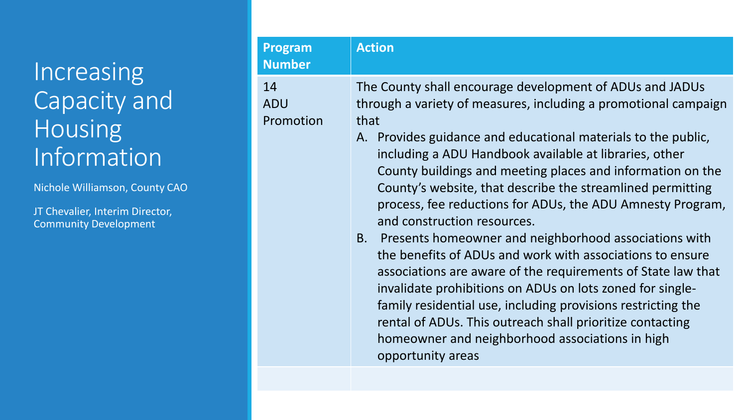Nichole Williamson, County CAO

| <b>Program</b><br><b>Number</b> | <b>Action</b>                               |
|---------------------------------|---------------------------------------------|
| 14<br>ADU                       | The County shall en<br>through a variety of |
| Promotion                       | that<br>Drovidos quidan                     |

- I courage development of ADUs and JADUs f measures, including a promotional campaign
- A. Provides guidance and educational materials to the public, including a ADU Handbook available at libraries, other County buildings and meeting places and information on the County's website, that describe the streamlined permitting process, fee reductions for ADUs, the ADU Amnesty Program, and construction resources.
- B. Presents homeowner and neighborhood associations with the benefits of ADUs and work with associations to ensure associations are aware of the requirements of State law that invalidate prohibitions on ADUs on lots zoned for singlefamily residential use, including provisions restricting the rental of ADUs. This outreach shall prioritize contacting homeowner and neighborhood associations in high opportunity areas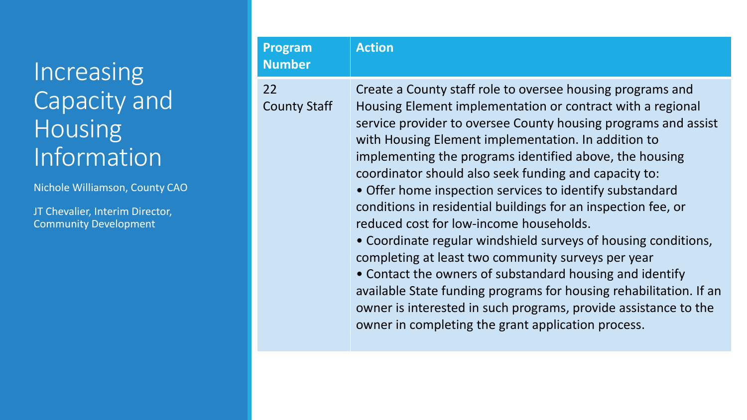Nichole Williamson, County CAO

| <b>Program</b><br><b>Number</b> | <b>Action</b>                                                                                                                                                                                                                                                                                                                                                                                                                                                                                                                                                                                                                                                                                                                                                                                                                                                                                                                    |
|---------------------------------|----------------------------------------------------------------------------------------------------------------------------------------------------------------------------------------------------------------------------------------------------------------------------------------------------------------------------------------------------------------------------------------------------------------------------------------------------------------------------------------------------------------------------------------------------------------------------------------------------------------------------------------------------------------------------------------------------------------------------------------------------------------------------------------------------------------------------------------------------------------------------------------------------------------------------------|
| 22<br><b>County Staff</b>       | Create a County staff role to oversee housing programs and<br>Housing Element implementation or contract with a regional<br>service provider to oversee County housing programs and assist<br>with Housing Element implementation. In addition to<br>implementing the programs identified above, the housing<br>coordinator should also seek funding and capacity to:<br>• Offer home inspection services to identify substandard<br>conditions in residential buildings for an inspection fee, or<br>reduced cost for low-income households.<br>• Coordinate regular windshield surveys of housing conditions,<br>completing at least two community surveys per year<br>• Contact the owners of substandard housing and identify<br>available State funding programs for housing rehabilitation. If an<br>owner is interested in such programs, provide assistance to the<br>owner in completing the grant application process. |